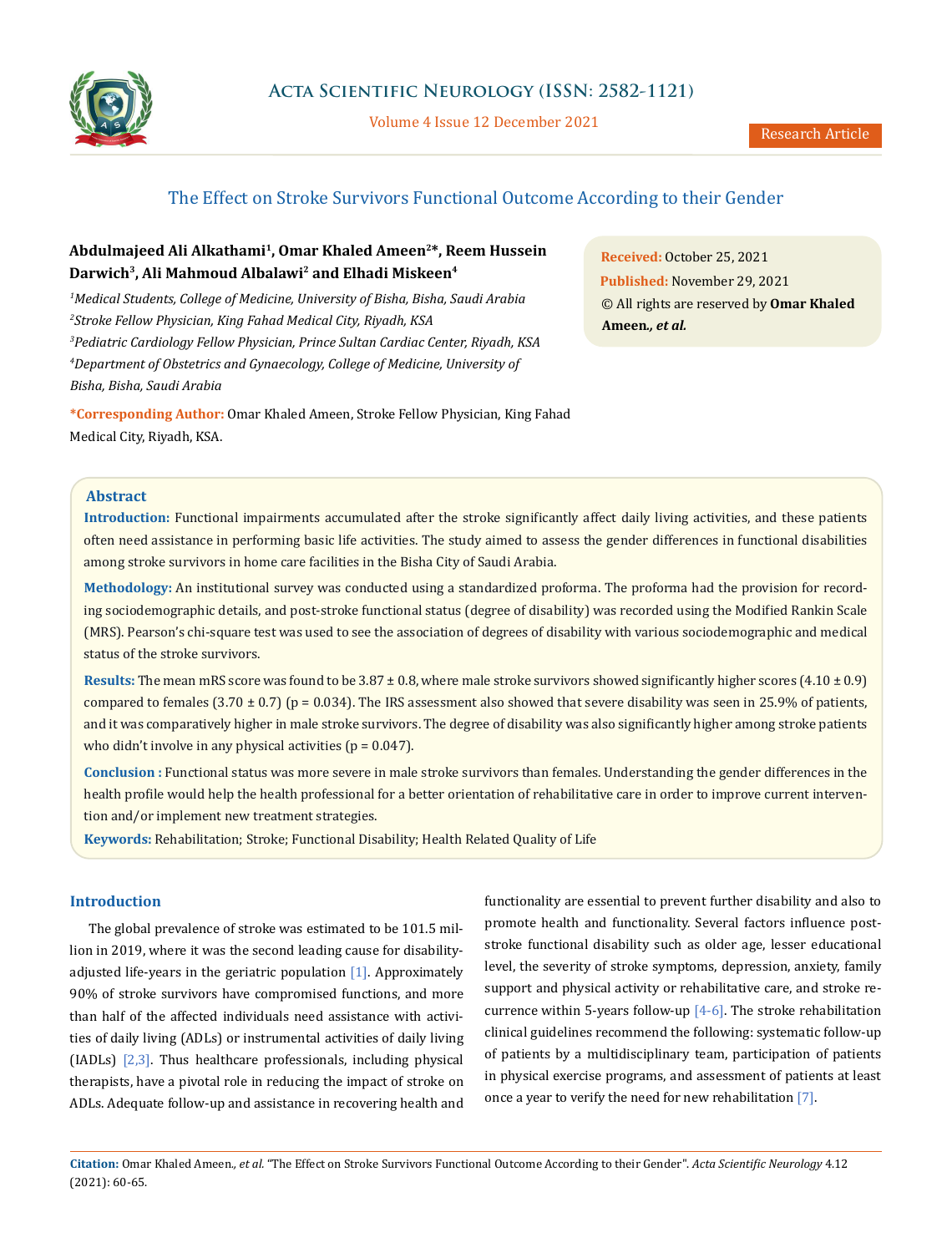

Volume 4 Issue 12 December 2021

# The Effect on Stroke Survivors Functional Outcome According to their Gender

## **Abdulmajeed Ali Alkathami1, Omar Khaled Ameen2\*, Reem Hussein Darwich3, Ali Mahmoud Albalawi2 and Elhadi Miskeen4**

 *Medical Students, College of Medicine, University of Bisha, Bisha, Saudi Arabia Stroke Fellow Physician, King Fahad Medical City, Riyadh, KSA Pediatric Cardiology Fellow Physician, Prince Sultan Cardiac Center, Riyadh, KSA Department of Obstetrics and Gynaecology, College of Medicine, University of Bisha, Bisha, Saudi Arabia*

**\*Corresponding Author:** Omar Khaled Ameen, Stroke Fellow Physician, King Fahad Medical City, Riyadh, KSA.

**Received:** October 25, 2021 **Published:** November 29, 2021 © All rights are reserved by **Omar Khaled Ameen***., et al.*

### **Abstract**

**Introduction:** Functional impairments accumulated after the stroke significantly affect daily living activities, and these patients often need assistance in performing basic life activities. The study aimed to assess the gender differences in functional disabilities among stroke survivors in home care facilities in the Bisha City of Saudi Arabia.

**Methodology:** An institutional survey was conducted using a standardized proforma. The proforma had the provision for recording sociodemographic details, and post-stroke functional status (degree of disability) was recorded using the Modified Rankin Scale (MRS). Pearson's chi-square test was used to see the association of degrees of disability with various sociodemographic and medical status of the stroke survivors.

**Results:** The mean mRS score was found to be 3.87 ± 0.8, where male stroke survivors showed significantly higher scores (4.10 ± 0.9) compared to females  $(3.70 \pm 0.7)$  (p = 0.034). The IRS assessment also showed that severe disability was seen in 25.9% of patients, and it was comparatively higher in male stroke survivors. The degree of disability was also significantly higher among stroke patients who didn't involve in any physical activities ( $p = 0.047$ ).

**Conclusion :** Functional status was more severe in male stroke survivors than females. Understanding the gender differences in the health profile would help the health professional for a better orientation of rehabilitative care in order to improve current intervention and/or implement new treatment strategies.

**Keywords:** Rehabilitation; Stroke; Functional Disability; Health Related Quality of Life

#### **Introduction**

The global prevalence of stroke was estimated to be 101.5 million in 2019, where it was the second leading cause for disabilityadjusted life-years in the geriatric population  $[1]$ . Approximately 90% of stroke survivors have compromised functions, and more than half of the affected individuals need assistance with activities of daily living (ADLs) or instrumental activities of daily living (IADLs) [2,3]. Thus healthcare professionals, including physical therapists, have a pivotal role in reducing the impact of stroke on ADLs. Adequate follow-up and assistance in recovering health and

functionality are essential to prevent further disability and also to promote health and functionality. Several factors influence poststroke functional disability such as older age, lesser educational level, the severity of stroke symptoms, depression, anxiety, family support and physical activity or rehabilitative care, and stroke recurrence within 5-years follow-up  $[4-6]$ . The stroke rehabilitation clinical guidelines recommend the following: systematic follow-up of patients by a multidisciplinary team, participation of patients in physical exercise programs, and assessment of patients at least once a year to verify the need for new rehabilitation [7].

**Citation:** Omar Khaled Ameen*., et al.* "The Effect on Stroke Survivors Functional Outcome According to their Gender". *Acta Scientific Neurology* 4.12 (2021): 60-65.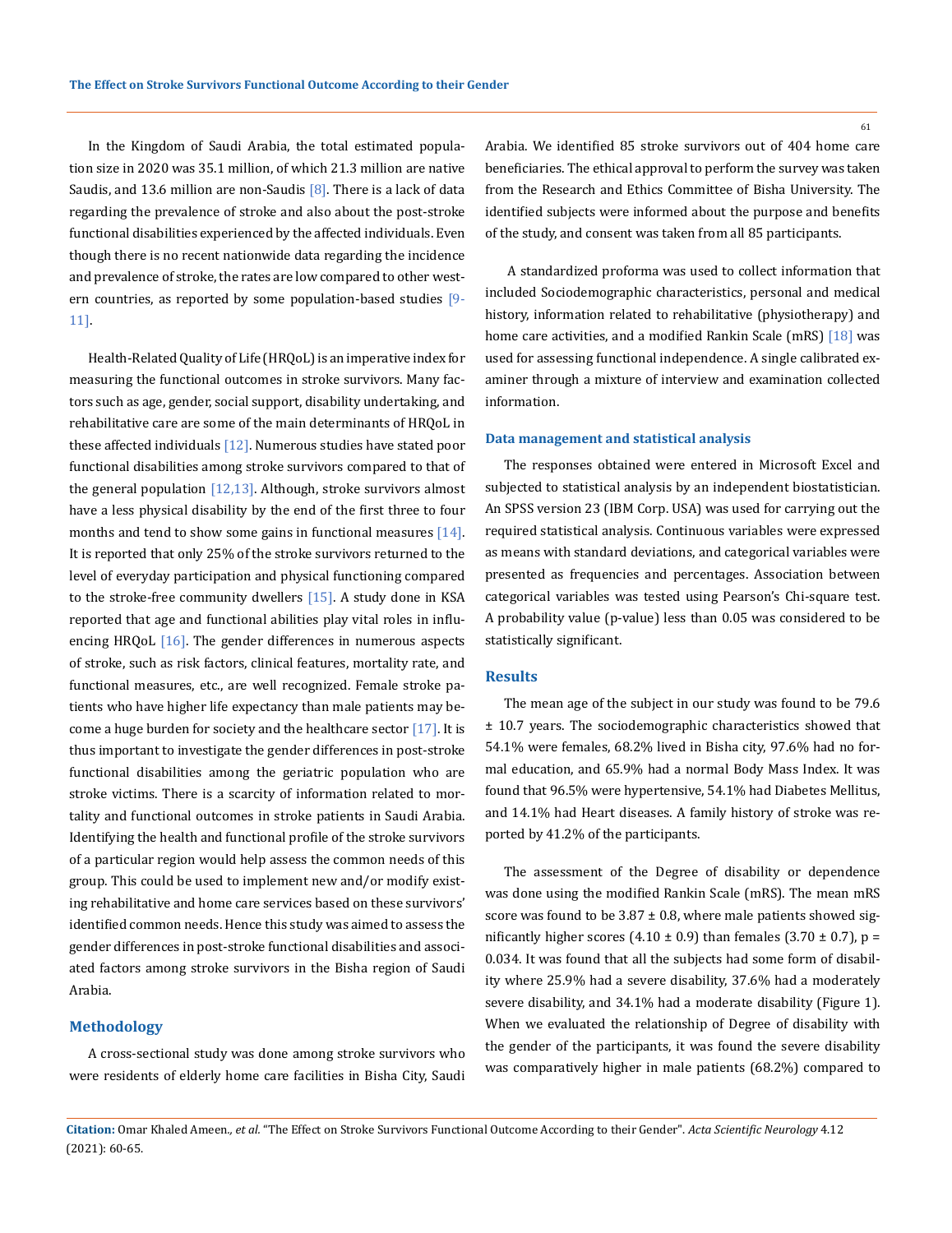In the Kingdom of Saudi Arabia, the total estimated population size in 2020 was 35.1 million, of which 21.3 million are native Saudis, and 13.6 million are non-Saudis  $[8]$ . There is a lack of data regarding the prevalence of stroke and also about the post-stroke functional disabilities experienced by the affected individuals. Even though there is no recent nationwide data regarding the incidence and prevalence of stroke, the rates are low compared to other western countries, as reported by some population-based studies [9-11].

Health-Related Quality of Life (HRQoL) is an imperative index for measuring the functional outcomes in stroke survivors. Many factors such as age, gender, social support, disability undertaking, and rehabilitative care are some of the main determinants of HRQoL in these affected individuals  $[12]$ . Numerous studies have stated poor functional disabilities among stroke survivors compared to that of the general population  $[12,13]$ . Although, stroke survivors almost have a less physical disability by the end of the first three to four months and tend to show some gains in functional measures [14]. It is reported that only 25% of the stroke survivors returned to the level of everyday participation and physical functioning compared to the stroke-free community dwellers [15]. A study done in KSA reported that age and functional abilities play vital roles in influencing HRQoL  $[16]$ . The gender differences in numerous aspects of stroke, such as risk factors, clinical features, mortality rate, and functional measures, etc., are well recognized. Female stroke patients who have higher life expectancy than male patients may become a huge burden for society and the healthcare sector  $[17]$ . It is thus important to investigate the gender differences in post-stroke functional disabilities among the geriatric population who are stroke victims. There is a scarcity of information related to mortality and functional outcomes in stroke patients in Saudi Arabia. Identifying the health and functional profile of the stroke survivors of a particular region would help assess the common needs of this group. This could be used to implement new and/or modify existing rehabilitative and home care services based on these survivors' identified common needs. Hence this study was aimed to assess the gender differences in post-stroke functional disabilities and associated factors among stroke survivors in the Bisha region of Saudi Arabia.

## **Methodology**

A cross-sectional study was done among stroke survivors who were residents of elderly home care facilities in Bisha City, Saudi Arabia. We identified 85 stroke survivors out of 404 home care beneficiaries. The ethical approval to perform the survey was taken from the Research and Ethics Committee of Bisha University. The identified subjects were informed about the purpose and benefits of the study, and consent was taken from all 85 participants.

 A standardized proforma was used to collect information that included Sociodemographic characteristics, personal and medical history, information related to rehabilitative (physiotherapy) and home care activities, and a modified Rankin Scale (mRS) [18] was used for assessing functional independence. A single calibrated examiner through a mixture of interview and examination collected information.

#### **Data management and statistical analysis**

The responses obtained were entered in Microsoft Excel and subjected to statistical analysis by an independent biostatistician. An SPSS version 23 (IBM Corp. USA) was used for carrying out the required statistical analysis. Continuous variables were expressed as means with standard deviations, and categorical variables were presented as frequencies and percentages. Association between categorical variables was tested using Pearson's Chi-square test. A probability value (p-value) less than 0.05 was considered to be statistically significant.

#### **Results**

The mean age of the subject in our study was found to be 79.6 ± 10.7 years. The sociodemographic characteristics showed that 54.1% were females, 68.2% lived in Bisha city, 97.6% had no formal education, and 65.9% had a normal Body Mass Index. It was found that 96.5% were hypertensive, 54.1% had Diabetes Mellitus, and 14.1% had Heart diseases. A family history of stroke was reported by 41.2% of the participants.

The assessment of the Degree of disability or dependence was done using the modified Rankin Scale (mRS). The mean mRS score was found to be  $3.87 \pm 0.8$ , where male patients showed significantly higher scores (4.10  $\pm$  0.9) than females (3.70  $\pm$  0.7), p = 0.034. It was found that all the subjects had some form of disability where 25.9% had a severe disability, 37.6% had a moderately severe disability, and 34.1% had a moderate disability (Figure 1). When we evaluated the relationship of Degree of disability with the gender of the participants, it was found the severe disability was comparatively higher in male patients (68.2%) compared to

**Citation:** Omar Khaled Ameen*., et al.* "The Effect on Stroke Survivors Functional Outcome According to their Gender". *Acta Scientific Neurology* 4.12 (2021): 60-65.

61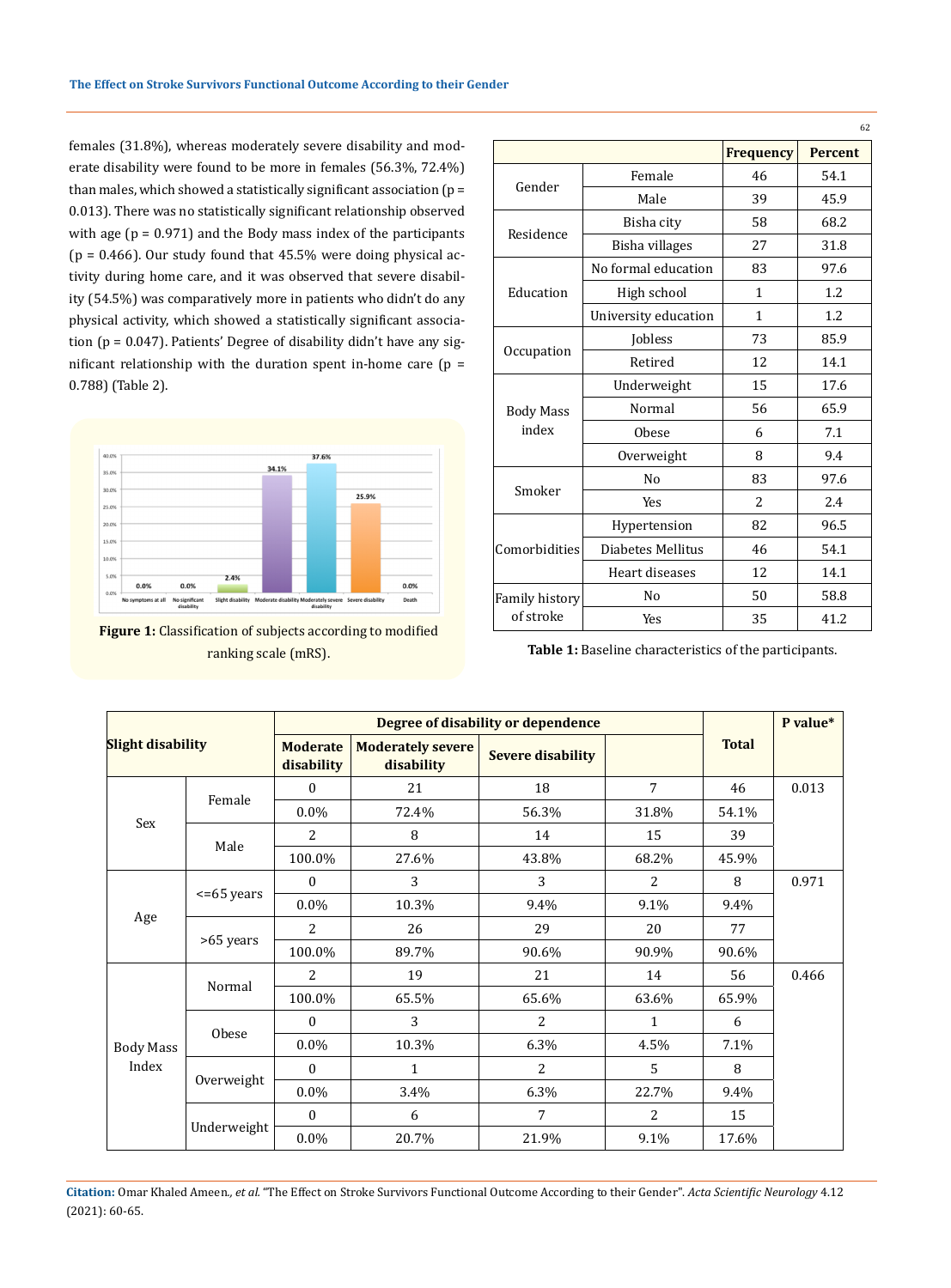females (31.8%), whereas moderately severe disability and moderate disability were found to be more in females (56.3%, 72.4%) than males, which showed a statistically significant association ( $p =$ 0.013). There was no statistically significant relationship observed with age  $(p = 0.971)$  and the Body mass index of the participants ( $p = 0.466$ ). Our study found that  $45.5%$  were doing physical activity during home care, and it was observed that severe disability (54.5%) was comparatively more in patients who didn't do any physical activity, which showed a statistically significant association (p = 0.047). Patients' Degree of disability didn't have any significant relationship with the duration spent in-home care  $(p =$ 0.788) (Table 2).



**Figure 1:** Classification of subjects according to modified ranking scale (mRS).

|                           |                      |                  | 62             |  |
|---------------------------|----------------------|------------------|----------------|--|
|                           |                      | <b>Frequency</b> | <b>Percent</b> |  |
| Gender                    | Female               | 46               | 54.1           |  |
|                           | Male                 | 39               | 45.9           |  |
| Residence                 | Bisha city           | 58               | 68.2           |  |
|                           | Bisha villages       | 27               | 31.8           |  |
|                           | No formal education  | 83               | 97.6           |  |
| Education                 | High school          | $\mathbf{1}$     | 1.2            |  |
|                           | University education | $\mathbf{1}$     | 1.2            |  |
| Occupation                | Jobless              | 73               | 85.9           |  |
|                           | Retired              | 12               | 14.1           |  |
|                           | Underweight          | 15               | 17.6           |  |
| <b>Body Mass</b><br>index | Normal               | 56               | 65.9           |  |
|                           | Obese                | 6                | 7.1            |  |
|                           | Overweight           | 8                | 9.4            |  |
| Smoker                    | N <sub>0</sub>       | 83               | 97.6           |  |
|                           | <b>Yes</b>           | 2                | 2.4            |  |
|                           | Hypertension         | 82               | 96.5           |  |
| Comorbidities             | Diabetes Mellitus    | 46               | 54.1           |  |
|                           | Heart diseases       | 12               | 14.1           |  |
| Family history            | No                   | 50               | 58.8           |  |
| of stroke                 | Yes                  | 35               | 41.2           |  |

**Table 1:** Baseline characteristics of the participants.

| <b>Slight disability</b>  |                  | Degree of disability or dependence |                                        |                          |                | P value*     |       |
|---------------------------|------------------|------------------------------------|----------------------------------------|--------------------------|----------------|--------------|-------|
|                           |                  | <b>Moderate</b><br>disability      | <b>Moderately severe</b><br>disability | <b>Severe disability</b> |                | <b>Total</b> |       |
| Sex                       | Female           | $\Omega$                           | 21                                     | 18                       | $\overline{7}$ | 46           | 0.013 |
|                           |                  | $0.0\%$                            | 72.4%                                  | 56.3%                    | 31.8%          | 54.1%        |       |
|                           | Male             | $\overline{a}$                     | 8                                      | 14                       | 15             | 39           |       |
|                           |                  | 100.0%                             | 27.6%                                  | 43.8%                    | 68.2%          | 45.9%        |       |
| Age                       | $\leq$ =65 years | $\Omega$                           | 3                                      | 3                        | 2              | 8            | 0.971 |
|                           |                  | $0.0\%$                            | 10.3%                                  | 9.4%                     | 9.1%           | 9.4%         |       |
|                           | >65 years        | $\overline{2}$                     | 26                                     | 29                       | 20             | 77           |       |
|                           |                  | 100.0%                             | 89.7%                                  | 90.6%                    | 90.9%          | 90.6%        |       |
| <b>Body Mass</b><br>Index | Normal           | $\overline{2}$                     | 19                                     | 21                       | 14             | 56           | 0.466 |
|                           |                  | 100.0%                             | 65.5%                                  | 65.6%                    | 63.6%          | 65.9%        |       |
|                           | <b>Obese</b>     | $\Omega$                           | 3                                      | $\overline{c}$           | 1              | 6            |       |
|                           |                  | $0.0\%$                            | 10.3%                                  | 6.3%                     | 4.5%           | 7.1%         |       |
|                           | Overweight       | $\Omega$                           | 1                                      | 2                        | 5              | 8            |       |
|                           |                  | $0.0\%$                            | 3.4%                                   | 6.3%                     | 22.7%          | 9.4%         |       |
|                           | Underweight      | $\Omega$                           | 6                                      | $\overline{7}$           | 2              | 15           |       |
|                           |                  | $0.0\%$                            | 20.7%                                  | 21.9%                    | 9.1%           | 17.6%        |       |

**Citation:** Omar Khaled Ameen*., et al.* "The Effect on Stroke Survivors Functional Outcome According to their Gender". *Acta Scientific Neurology* 4.12 (2021): 60-65.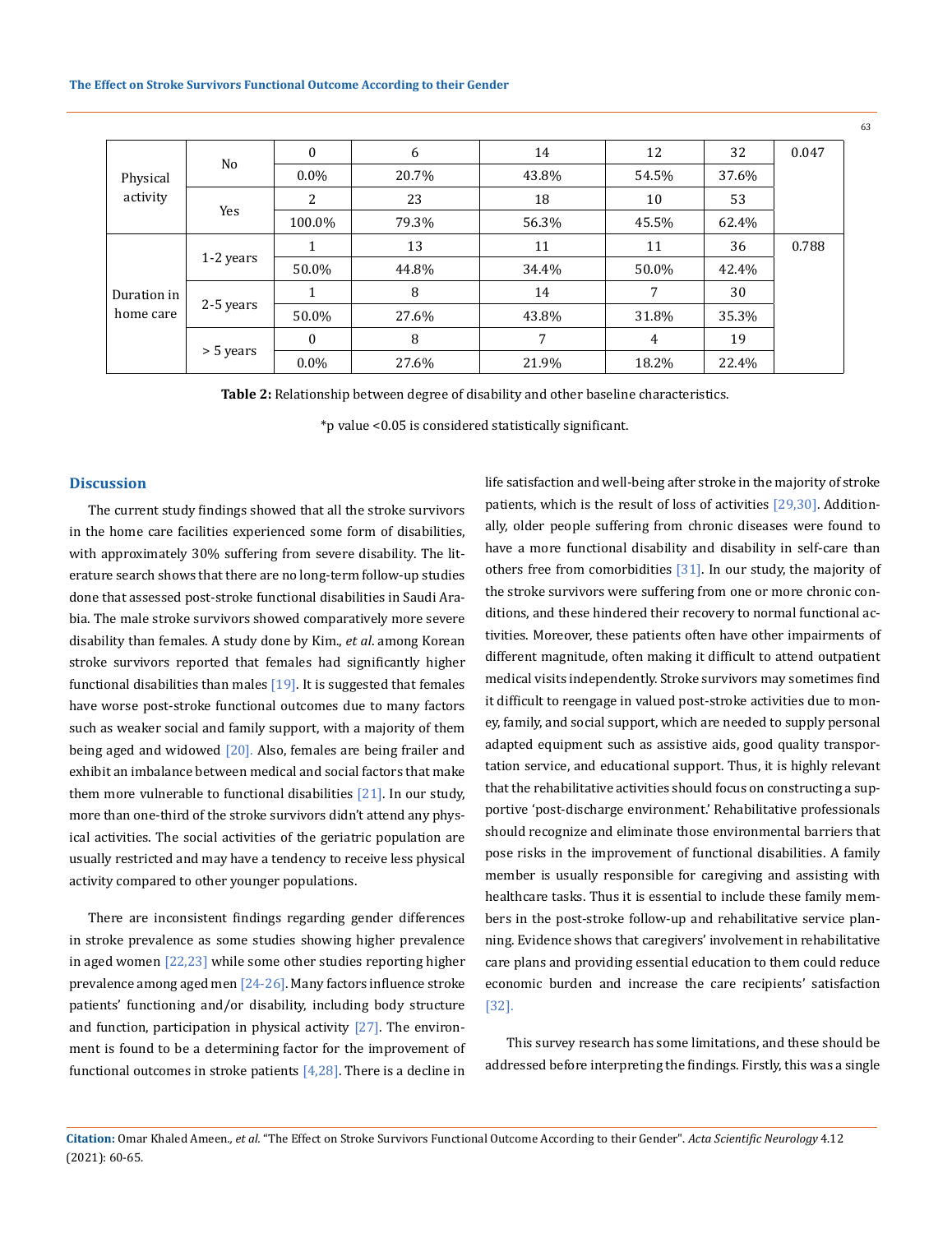| Physical<br>activity     | No        | $\mathbf{0}$ | 6     | 14    | 12    | 32    | 0.047 |
|--------------------------|-----------|--------------|-------|-------|-------|-------|-------|
|                          |           | $0.0\%$      | 20.7% | 43.8% | 54.5% | 37.6% |       |
|                          | Yes       | 2            | 23    | 18    | 10    | 53    |       |
|                          |           | 100.0%       | 79.3% | 56.3% | 45.5% | 62.4% |       |
| Duration in<br>home care | 1-2 years |              | 13    | 11    | 11    | 36    | 0.788 |
|                          |           | 50.0%        | 44.8% | 34.4% | 50.0% | 42.4% |       |
|                          | 2-5 years | 1            | 8     | 14    | 7     | 30    |       |
|                          |           | 50.0%        | 27.6% | 43.8% | 31.8% | 35.3% |       |
|                          | > 5 years | $\mathbf{0}$ | 8     | 7     | 4     | 19    |       |
|                          |           | $0.0\%$      | 27.6% | 21.9% | 18.2% | 22.4% |       |

**Table 2:** Relationship between degree of disability and other baseline characteristics.

\*p value <0.05 is considered statistically significant.

#### **Discussion**

The current study findings showed that all the stroke survivors in the home care facilities experienced some form of disabilities, with approximately 30% suffering from severe disability. The literature search shows that there are no long-term follow-up studies done that assessed post-stroke functional disabilities in Saudi Arabia. The male stroke survivors showed comparatively more severe disability than females. A study done by Kim., *et al*. among Korean stroke survivors reported that females had significantly higher functional disabilities than males  $[19]$ . It is suggested that females have worse post-stroke functional outcomes due to many factors such as weaker social and family support, with a majority of them being aged and widowed [20]. Also, females are being frailer and exhibit an imbalance between medical and social factors that make them more vulnerable to functional disabilities  $[21]$ . In our study, more than one-third of the stroke survivors didn't attend any physical activities. The social activities of the geriatric population are usually restricted and may have a tendency to receive less physical activity compared to other younger populations.

There are inconsistent findings regarding gender differences in stroke prevalence as some studies showing higher prevalence in aged women [22,23] while some other studies reporting higher prevalence among aged men [24-26]. Many factors influence stroke patients' functioning and/or disability, including body structure and function, participation in physical activity  $[27]$ . The environment is found to be a determining factor for the improvement of functional outcomes in stroke patients  $[4,28]$ . There is a decline in

life satisfaction and well-being after stroke in the majority of stroke patients, which is the result of loss of activities [29,30]. Additionally, older people suffering from chronic diseases were found to have a more functional disability and disability in self-care than others free from comorbidities [31]. In our study, the majority of the stroke survivors were suffering from one or more chronic conditions, and these hindered their recovery to normal functional activities. Moreover, these patients often have other impairments of different magnitude, often making it difficult to attend outpatient medical visits independently. Stroke survivors may sometimes find it difficult to reengage in valued post-stroke activities due to money, family, and social support, which are needed to supply personal adapted equipment such as assistive aids, good quality transportation service, and educational support. Thus, it is highly relevant that the rehabilitative activities should focus on constructing a supportive 'post-discharge environment.' Rehabilitative professionals should recognize and eliminate those environmental barriers that pose risks in the improvement of functional disabilities. A family member is usually responsible for caregiving and assisting with healthcare tasks. Thus it is essential to include these family members in the post-stroke follow-up and rehabilitative service planning. Evidence shows that caregivers' involvement in rehabilitative care plans and providing essential education to them could reduce economic burden and increase the care recipients' satisfaction [32].

 This survey research has some limitations, and these should be addressed before interpreting the findings. Firstly, this was a single

63

**Citation:** Omar Khaled Ameen*., et al.* "The Effect on Stroke Survivors Functional Outcome According to their Gender". *Acta Scientific Neurology* 4.12 (2021): 60-65.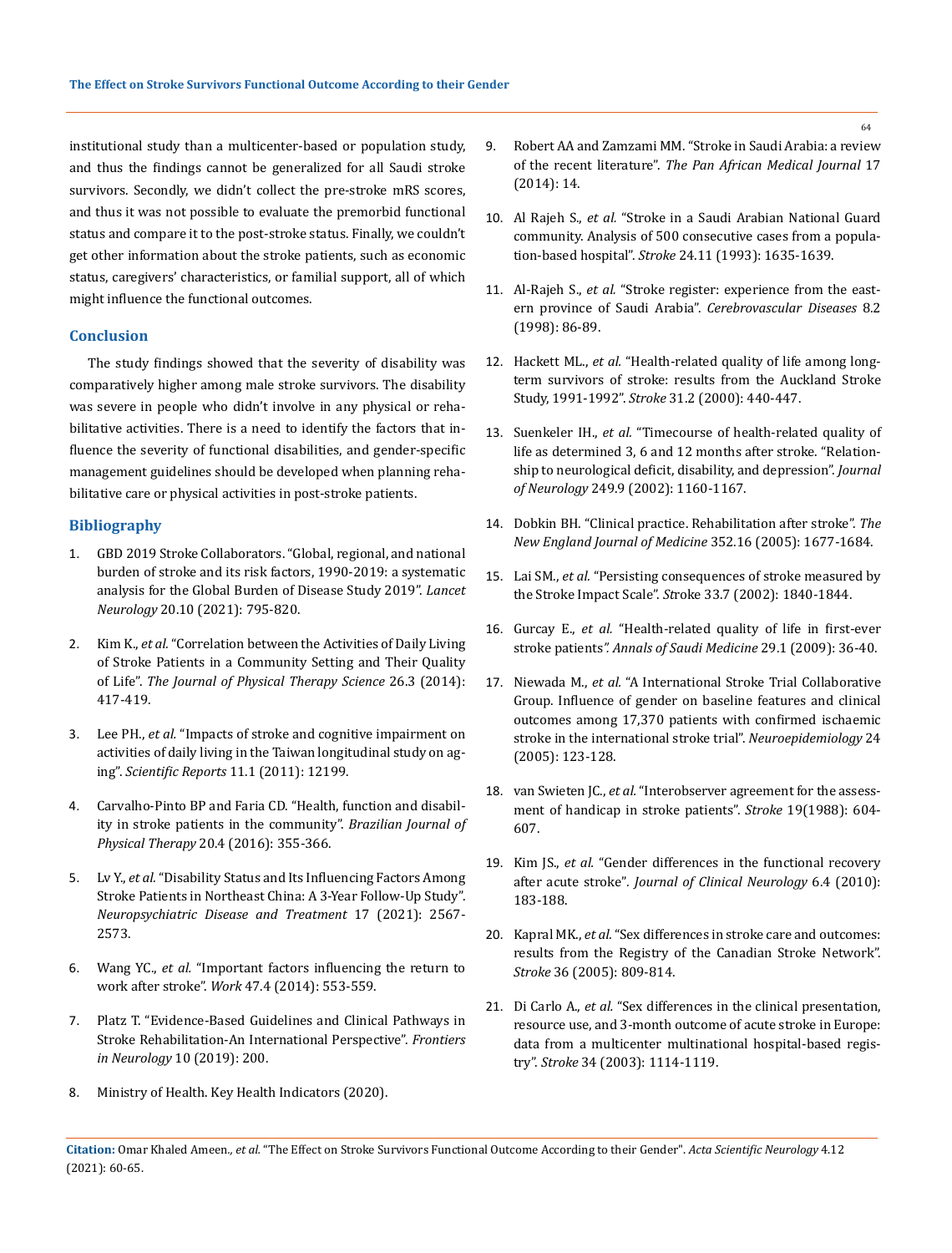institutional study than a multicenter-based or population study, and thus the findings cannot be generalized for all Saudi stroke survivors. Secondly, we didn't collect the pre-stroke mRS scores, and thus it was not possible to evaluate the premorbid functional status and compare it to the post-stroke status. Finally, we couldn't get other information about the stroke patients, such as economic status, caregivers' characteristics, or familial support, all of which might influence the functional outcomes.

#### **Conclusion**

The study findings showed that the severity of disability was comparatively higher among male stroke survivors. The disability was severe in people who didn't involve in any physical or rehabilitative activities. There is a need to identify the factors that influence the severity of functional disabilities, and gender-specific management guidelines should be developed when planning rehabilitative care or physical activities in post-stroke patients.

### **Bibliography**

- 1. [GBD 2019 Stroke Collaborators. "Global, regional, and national](https://www.thelancet.com/journals/laneur/article/PIIS1474-4422(21)00252-0/fulltext)  [burden of stroke and its risk factors, 1990-2019: a systematic](https://www.thelancet.com/journals/laneur/article/PIIS1474-4422(21)00252-0/fulltext)  [analysis for the Global Burden of Disease Study 2019".](https://www.thelancet.com/journals/laneur/article/PIIS1474-4422(21)00252-0/fulltext) *Lancet Neurology* [20.10 \(2021\): 795-820.](https://www.thelancet.com/journals/laneur/article/PIIS1474-4422(21)00252-0/fulltext)
- 2. Kim K., *et al.* ["Correlation between the Activities of Daily Living](https://pubmed.ncbi.nlm.nih.gov/24707096/)  [of Stroke Patients in a Community Setting and Their Quality](https://pubmed.ncbi.nlm.nih.gov/24707096/)  of Life". *[The Journal of Physical Therapy Science](https://pubmed.ncbi.nlm.nih.gov/24707096/)* 26.3 (2014): [417-419.](https://pubmed.ncbi.nlm.nih.gov/24707096/)
- 3. Lee PH., *et al.* ["Impacts of stroke and cognitive impairment on](https://www.nature.com/articles/s41598-021-91838-4)  [activities of daily living in the Taiwan longitudinal study on ag](https://www.nature.com/articles/s41598-021-91838-4)ing". *Scientific Reports* [11.1 \(2011\): 12199.](https://www.nature.com/articles/s41598-021-91838-4)
- 4. [Carvalho-Pinto BP and Faria CD. "Health, function and disabil](https://pubmed.ncbi.nlm.nih.gov/27556392/)[ity in stroke patients in the community".](https://pubmed.ncbi.nlm.nih.gov/27556392/) *Brazilian Journal of Physical Therapy* [20.4 \(2016\): 355-366.](https://pubmed.ncbi.nlm.nih.gov/27556392/)
- 5. Lv Y., *et al.* ["Disability Status and Its Influencing Factors Among](https://pubmed.ncbi.nlm.nih.gov/34393485/)  [Stroke Patients in Northeast China: A 3-Year Follow-Up Study".](https://pubmed.ncbi.nlm.nih.gov/34393485/)  *[Neuropsychiatric Disease and Treatment](https://pubmed.ncbi.nlm.nih.gov/34393485/)* 17 (2021): 2567- [2573.](https://pubmed.ncbi.nlm.nih.gov/34393485/)
- 6. Wang YC., *et al.* ["Important factors influencing the return to](https://pubmed.ncbi.nlm.nih.gov/23531585/)  work after stroke". *Work* [47.4 \(2014\): 553-559.](https://pubmed.ncbi.nlm.nih.gov/23531585/)
- 7. [Platz T. "Evidence-Based Guidelines and Clinical Pathways in](https://pubmed.ncbi.nlm.nih.gov/30930832/)  [Stroke Rehabilitation-An International Perspective".](https://pubmed.ncbi.nlm.nih.gov/30930832/) *Frontiers in Neurology* [10 \(2019\): 200.](https://pubmed.ncbi.nlm.nih.gov/30930832/)
- 8. Ministry of Health. Key Health Indicators (2020).
- 9. [Robert AA and Zamzami MM. "Stroke in Saudi Arabia: a review](https://www.ncbi.nlm.nih.gov/pmc/articles/PMC4048673/)  of the recent literature". *[The Pan African Medical Journal](https://www.ncbi.nlm.nih.gov/pmc/articles/PMC4048673/)* 17 [\(2014\): 14.](https://www.ncbi.nlm.nih.gov/pmc/articles/PMC4048673/)
- 10. Al Rajeh S., *et al.* ["Stroke in a Saudi Arabian National Guard](https://pubmed.ncbi.nlm.nih.gov/8236335/)  [community. Analysis of 500 consecutive cases from a popula](https://pubmed.ncbi.nlm.nih.gov/8236335/)tion-based hospital". *Stroke* [24.11 \(1993\): 1635-1639.](https://pubmed.ncbi.nlm.nih.gov/8236335/)
- 11. Al-Rajeh S., *et al.* ["Stroke register: experience from the east](https://pubmed.ncbi.nlm.nih.gov/9548005/)ern province of Saudi Arabia". *[Cerebrovascular Diseases](https://pubmed.ncbi.nlm.nih.gov/9548005/)* 8.2 [\(1998\): 86-89.](https://pubmed.ncbi.nlm.nih.gov/9548005/)
- 12. Hackett ML., *et al.* ["Health-related quality of life among long](https://pubmed.ncbi.nlm.nih.gov/10657420/)[term survivors of stroke: results from the Auckland Stroke](https://pubmed.ncbi.nlm.nih.gov/10657420/)  Study, 1991-1992". *Stroke* [31.2 \(2000\): 440-447.](https://pubmed.ncbi.nlm.nih.gov/10657420/)
- 13. Suenkeler IH., *et al.* ["Timecourse of health-related quality of](https://pubmed.ncbi.nlm.nih.gov/12242533/)  [life as determined 3, 6 and 12 months after stroke. "Relation](https://pubmed.ncbi.nlm.nih.gov/12242533/)[ship to neurological deficit, disability, and depression".](https://pubmed.ncbi.nlm.nih.gov/12242533/) *Journal of Neurology* [249.9 \(2002\): 1160-1167.](https://pubmed.ncbi.nlm.nih.gov/12242533/)
- 14. [Dobkin BH. "Clinical practice. Rehabilitation after stroke".](https://pubmed.ncbi.nlm.nih.gov/15843670/) *The [New England Journal of Medicine](https://pubmed.ncbi.nlm.nih.gov/15843670/)* 352.16 (2005): 1677-1684.
- 15. Lai SM., *et al.* ["Persisting consequences of stroke measured by](https://pubmed.ncbi.nlm.nih.gov/12105363/)  the Stroke Impact Scale". *St*[roke 33.7 \(2002\): 1840-1844.](https://pubmed.ncbi.nlm.nih.gov/12105363/)
- 16. Gurcay E., *et al.* ["Health-related quality of life in first-ever](https://www.ncbi.nlm.nih.gov/pmc/articles/PMC2813619/)  stroke patients*[". Annals of Saudi Medicine](https://www.ncbi.nlm.nih.gov/pmc/articles/PMC2813619/)* 29.1 (2009): 36-40.
- 17. Niewada M., *et al.* ["A International Stroke Trial Collaborative](https://pubmed.ncbi.nlm.nih.gov/15637449/)  [Group. Influence of gender on baseline features and clinical](https://pubmed.ncbi.nlm.nih.gov/15637449/)  [outcomes among 17,370 patients with confirmed ischaemic](https://pubmed.ncbi.nlm.nih.gov/15637449/)  [stroke in the international stroke trial".](https://pubmed.ncbi.nlm.nih.gov/15637449/) *Neuroepidemiology* 24 [\(2005\): 123-128.](https://pubmed.ncbi.nlm.nih.gov/15637449/)
- 18. van Swieten JC., *et al.* ["Interobserver agreement for the assess](https://pubmed.ncbi.nlm.nih.gov/3363593/)[ment of handicap in stroke patients".](https://pubmed.ncbi.nlm.nih.gov/3363593/) *Stroke* 19(1988): 604- [607.](https://pubmed.ncbi.nlm.nih.gov/3363593/)
- 19. Kim JS., *et al.* ["Gender differences in the functional recovery](https://pubmed.ncbi.nlm.nih.gov/21264198/)  after acute stroke"*[. Journal of Clinical Neurology](https://pubmed.ncbi.nlm.nih.gov/21264198/)* 6.4 (2010): [183-188.](https://pubmed.ncbi.nlm.nih.gov/21264198/)
- 20. Kapral MK., *et al.* ["Sex differences in stroke care and outcomes:](https://pubmed.ncbi.nlm.nih.gov/15731476/)  [results from the Registry of the Canadian Stroke Network".](https://pubmed.ncbi.nlm.nih.gov/15731476/)  *Stroke* [36 \(2005\): 809-814.](https://pubmed.ncbi.nlm.nih.gov/15731476/)
- 21. Di Carlo A., *et al.* ["Sex differences in the clinical presentation,](https://pubmed.ncbi.nlm.nih.gov/12690218/)  [resource use, and 3-month outcome of acute stroke in Europe:](https://pubmed.ncbi.nlm.nih.gov/12690218/)  [data from a multicenter multinational hospital-based regis](https://pubmed.ncbi.nlm.nih.gov/12690218/)try". *Stroke* [34 \(2003\): 1114-1119.](https://pubmed.ncbi.nlm.nih.gov/12690218/)
- **Citation:** Omar Khaled Ameen*., et al.* "The Effect on Stroke Survivors Functional Outcome According to their Gender". *Acta Scientific Neurology* 4.12 (2021): 60-65.